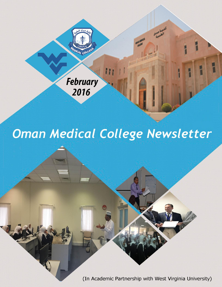

# Oman Medical College Newsletter

(In Academic Partnership with West Virginia University)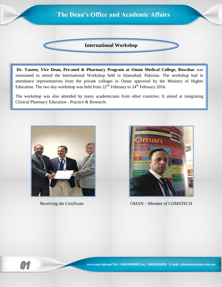# **International Workshop The Dean's Office and Academic Affairs**

**Dr. Yaseen, Vice Dean, Pre-med & Pharmacy Program at Oman Medical College, Bowshar** was nominated to attend the International Workshop held in Islamabad, Pakistan. The workshop had in attendance representatives from the private colleges in Oman approved by the Ministry of Higher Education. The two day workshop was held from  $22<sup>nd</sup>$  February to  $24<sup>th</sup>$  February 2016.

The workshop was also attended by many academicians from other countries. It aimed at integrating Clinical Pharmacy Education - Practice & Research.





Receiving the Certificate OMAN – Member of COMSTECH

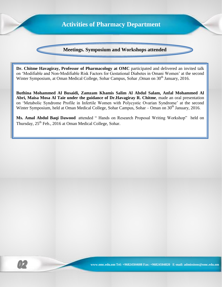

**Dr. Chitme Havagiray, Professor of Pharmacology at OMC** participated and delivered an invited talk on 'Modifiable and Non-Modifiable Risk Factors for Gestational Diabetes in Omani Women' at the second Winter Symposium, at Oman Medical College, Sohar Campus, Sohar, Oman on 30<sup>th</sup> January, 2016.

**Buthina Mohammed Al Busaidi, Zamzam Khamis Salim Al Abdul Salam, Anfal Mohammed Al Abri, Maisa Mosa Al Taie under the guidance of Dr.Havagiray R. Chitme**, made an oral presentation on 'Metabolic Syndrome Profile in Infertile Women with Polycystic Ovarian Syndrome' at the second Winter Symposium, held at Oman Medical College, Sohar Campus, Sohar – Oman on 30<sup>th</sup> January, 2016.

**Ms. Amal Abdul Baqi Dawood** attended " Hands on Research Proposal Writing Workshop" held on Thursday,  $25^{th}$  Feb., 2016 at Oman Medical College, Sohar.

 $\mathcal{P}$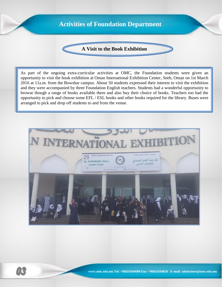## **Activities of Foundation Department**

#### **A Visit to the Book Exhibition**

As part of the ongoing extra-curricular activities at OMC, the Foundation students were given an opportunity to visit the book exhibition at Oman International Exhibition Center, Seeb, Oman on 1st March 2016 at 11a.m. from the Bowshar campus. About 50 students expressed their interest to visit the exhibition and they were accompanied by three Foundation English teachers. Students had a wonderful opportunity to browse though a range of books available there and also buy their choice of books. Teachers too had the opportunity to pick and choose some EFL / ESL books and other books required for the library. Buses were arranged to pick and drop off students to and from the venue.



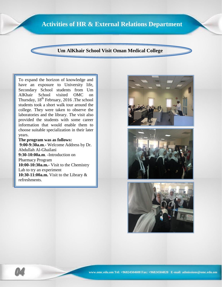### **Activities of HR & External Relations Department**

#### **Um AlKhair School Visit Oman Medical College**

To expand the horizon of knowledge and have an exposure to University life, Secondary School students from Um AlKhair School visited OMC on Thursday,  $18<sup>th</sup>$  February, 2016 . The school students took a short walk tour around the college. They were taken to observe the laboratories and the library. The visit also provided the students with some career information that would enable them to choose suitable specialization in their later years.

#### **The program was as follows:**

**9:00-9:30a.m**.- Welcome Address by Dr. Abdullah Al-Ghailani **9:30-10:00a.m**. -Introduction on Pharmacy Program **10:00-10:30a.m.**- Visit to the Chemistry Lab to try an experiment **10:30-11:00a.m.** Visit to the Library & refreshments.